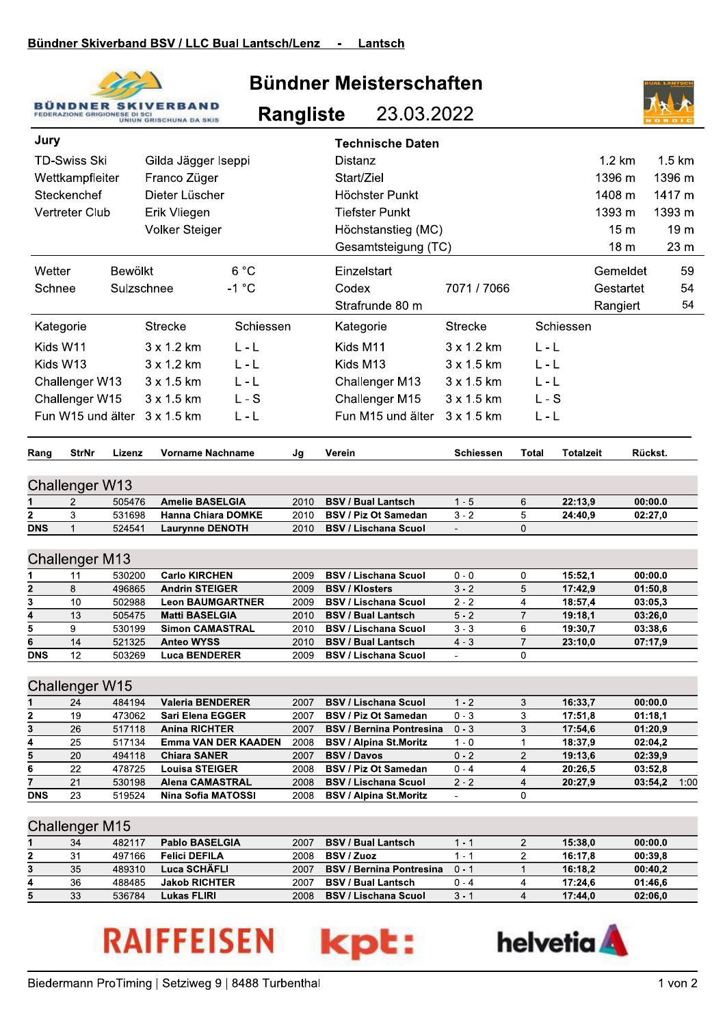

## Bündner Meisterschaften

**Rangliste** 23.03.2022



| Jury                         |                |                  |                                      |                            |              | <b>Technische Daten</b>                              |                             |                                        |                    |                      |                  |
|------------------------------|----------------|------------------|--------------------------------------|----------------------------|--------------|------------------------------------------------------|-----------------------------|----------------------------------------|--------------------|----------------------|------------------|
| <b>TD-Swiss Ski</b>          |                |                  | Gilda Jägger Iseppi                  |                            |              | <b>Distanz</b>                                       |                             |                                        |                    | 1.2 km               | $1.5 \text{ km}$ |
|                              |                |                  | Franco Züger                         |                            |              | Start/Ziel                                           |                             |                                        |                    | 1396 m               | 1396 m           |
| Wettkampfleiter              |                |                  |                                      |                            |              |                                                      |                             |                                        |                    |                      |                  |
|                              | Steckenchef    |                  | Dieter Lüscher                       |                            |              | Höchster Punkt                                       |                             |                                        |                    | 1408 m               | 1417 m           |
|                              | Vertreter Club |                  | Erik Vliegen                         |                            |              | <b>Tiefster Punkt</b>                                |                             |                                        |                    | 1393 m               | 1393 m           |
|                              |                |                  | Volker Steiger                       |                            |              | Höchstanstieg (MC)                                   |                             |                                        |                    | 15 <sub>m</sub>      | 19 <sub>m</sub>  |
|                              |                |                  |                                      |                            |              | Gesamtsteigung (TC)                                  |                             |                                        |                    | 18 <sub>m</sub>      | 23 m             |
| Wetter                       |                | <b>Bewölkt</b>   |                                      | 6 °C                       |              | Einzelstart                                          |                             |                                        |                    | Gemeldet             | 59               |
| Schnee                       |                | Sulzschnee       |                                      | $-1$ °C                    |              | Codex                                                | 7071 / 7066                 |                                        |                    | Gestartet            | 54               |
|                              |                |                  |                                      |                            |              | Strafrunde 80 m                                      |                             |                                        |                    | Rangiert             | 54               |
|                              | Kategorie      |                  | <b>Strecke</b>                       | Schiessen                  |              | Kategorie                                            | <b>Strecke</b>              |                                        | Schiessen          |                      |                  |
| Kids W11                     |                |                  | 3 x 1.2 km                           | $L - L$                    |              | Kids M11                                             | 3 x 1.2 km                  | $L - L$                                |                    |                      |                  |
|                              |                |                  |                                      |                            |              |                                                      |                             |                                        |                    |                      |                  |
|                              | Kids W13       |                  | 3 x 1.2 km                           | $L - L$                    |              | Kids M13                                             | $3 \times 1.5$ km           | $L - L$                                |                    |                      |                  |
|                              | Challenger W13 |                  | 3 x 1.5 km                           | L - L                      |              | Challenger M13                                       | 3 x 1.5 km                  | $L - L$                                |                    |                      |                  |
|                              | Challenger W15 |                  | 3 x 1.5 km                           | L-S                        |              | Challenger M15                                       | 3 x 1.5 km                  | $L-S$                                  |                    |                      |                  |
|                              |                |                  | Fun W15 und älter 3 x 1.5 km         | L - L                      |              | Fun M15 und älter                                    | 3 x 1.5 km                  | $L - L$                                |                    |                      |                  |
|                              |                |                  |                                      |                            |              |                                                      |                             |                                        |                    |                      |                  |
| Rang                         | <b>StrNr</b>   | Lizenz           | <b>Vorname Nachname</b>              |                            | Jg           | Verein                                               | <b>Schiessen</b>            | Total                                  | <b>Totalzeit</b>   | Rückst.              |                  |
|                              |                |                  |                                      |                            |              |                                                      |                             |                                        |                    |                      |                  |
| Challenger W13               |                |                  |                                      |                            |              |                                                      |                             |                                        |                    |                      |                  |
|                              | $\overline{2}$ | 505476           | <b>Amelie BASELGIA</b>               |                            | 2010         | <b>BSV / Bual Lantsch</b>                            | $1 - 5$                     | 6                                      | 22:13,9            | 00:00.0              |                  |
| 2                            | 3              | 531698           |                                      | <b>Hanna Chiara DOMKE</b>  | 2010         | <b>BSV / Piz Ot Samedan</b>                          | $3 - 2$                     | 5                                      | 24:40,9            | 02:27,0              |                  |
| <b>DNS</b>                   | $\mathbf{1}$   | 524541           | <b>Laurynne DENOTH</b>               |                            | 2010         | <b>BSV / Lischana Scuol</b>                          | $\mathcal{L}^{\mathcal{A}}$ | $\Omega$                               |                    |                      |                  |
| <b>Challenger M13</b>        |                |                  |                                      |                            |              |                                                      |                             |                                        |                    |                      |                  |
|                              |                |                  | <b>Carlo KIRCHEN</b>                 |                            |              |                                                      |                             |                                        |                    |                      |                  |
| 1<br>$\overline{\mathbf{2}}$ | 11<br>8        | 530200<br>496865 | <b>Andrin STEIGER</b>                |                            | 2009<br>2009 | <b>BSV / Lischana Scuol</b><br><b>BSV / Klosters</b> | $0 - 0$<br>$3 - 2$          | 0<br>5                                 | 15:52,1<br>17:42,9 | 00:00.0<br>01:50,8   |                  |
| 3                            | 10             | 502988           |                                      | <b>Leon BAUMGARTNER</b>    | 2009         | <b>BSV / Lischana Scuol</b>                          | $2 - 2$                     | 4                                      | 18:57,4            | 03:05.3              |                  |
| 4                            | 13             | 505475           | <b>Matti BASELGIA</b>                |                            | 2010         | <b>BSV / Bual Lantsch</b>                            | $5 - 2$                     | $\overline{7}$                         | 19:18.1            | 03:26,0              |                  |
| 5                            | 9              | 530199           | <b>Simon CAMASTRAL</b>               |                            | 2010         | <b>BSV / Lischana Scuol</b>                          | $3 - 3$                     | 6                                      | 19:30,7            | 03:38,6              |                  |
| 6                            | 14             | 521325           | <b>Anteo WYSS</b>                    |                            | 2010         | <b>BSV / Bual Lantsch</b>                            | $4 - 3$                     | $\overline{7}$                         | 23:10,0            | 07:17,9              |                  |
| <b>DNS</b>                   | 12             | 503269           | <b>Luca BENDERER</b>                 |                            | 2009         | <b>BSV / Lischana Scuol</b>                          | $\overline{\phantom{a}}$    | 0                                      |                    |                      |                  |
|                              |                |                  |                                      |                            |              |                                                      |                             |                                        |                    |                      |                  |
| Challenger W15               |                |                  |                                      |                            |              |                                                      |                             |                                        |                    |                      |                  |
|                              | 24             | 484194           | <b>Valeria BENDERER</b>              |                            | 2007         | <b>BSV / Lischana Scuol</b>                          | $1 - 2$                     | 3                                      | 16:33,7            | 00:00.0              |                  |
| 2                            | 19             | 473062           | <b>Sari Elena EGGER</b>              |                            | 2007         | <b>BSV / Piz Ot Samedan</b>                          | $0 - 3$                     | 3                                      | 17:51,8            | 01:18,1              |                  |
| 3                            | 26             | 517118           | <b>Anina RICHTER</b>                 |                            | 2007         | <b>BSV / Bernina Pontresina</b>                      | $0 - 3$                     | 3                                      | 17:54,6            | 01:20,9              |                  |
| 4                            | 25             | 517134           |                                      | <b>Emma VAN DER KAADEN</b> | 2008         | <b>BSV / Alpina St.Moritz</b>                        | $1 - 0$                     | $\mathbf 1$                            | 18:37,9            | 02:04,2              |                  |
| 5                            | 20             | 494118           | <b>Chiara SANER</b>                  |                            | 2007         | <b>BSV / Davos</b>                                   | $0 - 2$                     | $\overline{2}$                         | 19:13,6            | 02:39,9              |                  |
| 6                            | 22             | 478725           | <b>Louisa STEIGER</b>                |                            | 2008         | <b>BSV / Piz Ot Samedan</b>                          | $0 - 4$                     | 4                                      | 20:26,5            | 03:52,8              |                  |
| 7                            | 21             | 530198           | <b>Alena CAMASTRAL</b>               |                            | 2008         | <b>BSV / Lischana Scuol</b>                          | $2 - 2$                     | 4                                      | 20:27,9            | 03:54,2              | 1:00             |
| DNS                          | 23             | 519524           | <b>Nina Sofia MATOSSI</b>            |                            | 2008         | <b>BSV / Alpina St.Moritz</b>                        | $\overline{\phantom{a}}$    | 0                                      |                    |                      |                  |
|                              |                |                  |                                      |                            |              |                                                      |                             |                                        |                    |                      |                  |
| <b>Challenger M15</b>        |                |                  |                                      |                            |              |                                                      |                             |                                        |                    |                      |                  |
|                              | 34             | 482117           | Pablo BASELGIA                       |                            | 2007         | <b>BSV / Bual Lantsch</b>                            | $1 - 1$                     | 2                                      | 15:38,0            | 00:00.0              |                  |
| 2<br>$\mathbf{z}$            | 31<br>35       | 497166<br>489310 | <b>Felici DEFILA</b><br>Luca SCHÄELL |                            | 2008<br>2007 | <b>BSV / Zuoz</b><br><b>RSV / Rerning Pontresing</b> | $1 - 1$<br>$\Omega$ – 1     | $\overline{c}$<br>$\blacktriangleleft$ | 16:17,8<br>16.182  | 00:39,8<br>$00-40.2$ |                  |

|   | 34 | 482117 | <b>Pablo BASELGIA</b> | 2007 | <b>BSV / Bual Lantsch</b>       |         | 15:38.0 | 00:00.0 |
|---|----|--------|-----------------------|------|---------------------------------|---------|---------|---------|
|   | 21 | 497166 | <b>Felici DEFILA</b>  | 2008 | <b>BSV / Zuoz</b>               |         | 16:17.8 | 00:39.8 |
| J | 35 | 489310 | Luca SCHĂFLI          | 2007 | <b>BSV / Bernina Pontresina</b> | $0 - 7$ | 16:18.2 | 00:40.2 |
|   | 36 | 488485 | <b>Jakob RICHTER</b>  | 2007 | <b>BSV / Bual Lantsch</b>       | 0 - 4   | 17:24.6 | 01:46.6 |
|   | 33 | 536784 | Lukas FLIRI           | 2008 | <b>BSV / Lischana Scuol</b>     | $3 -$   | 17:44.0 | 02:06.0 |
|   |    |        |                       |      |                                 |         |         |         |

## **RAIFFEISEN** kpt: helvetia **A**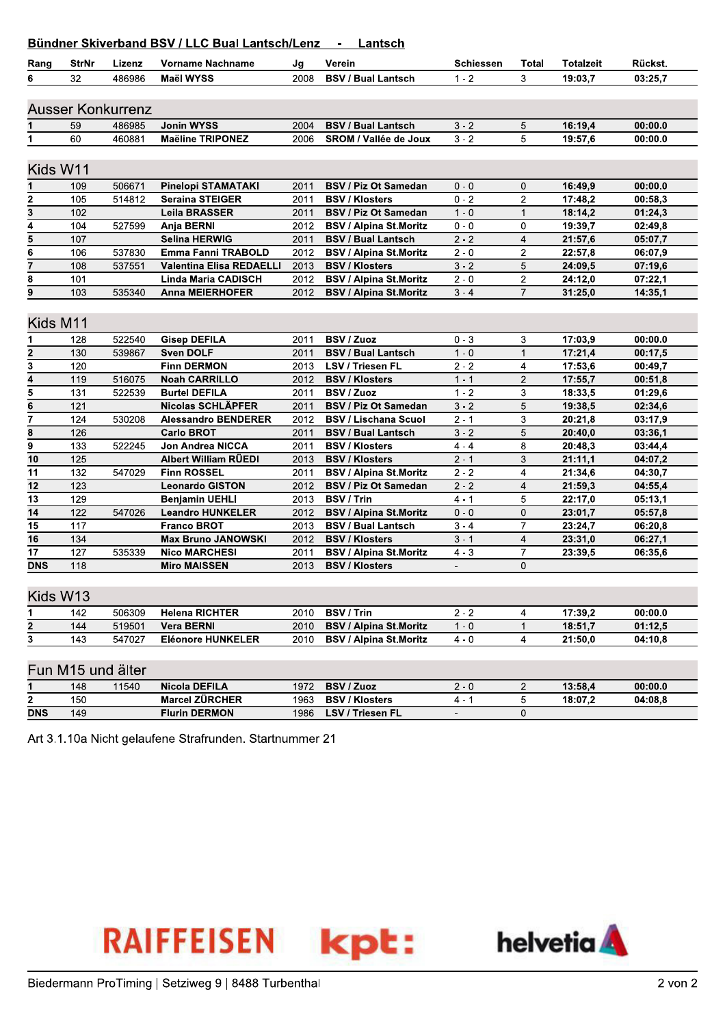## Ründner Skiverhand RSV / I I C Rual Lantsch/Lenz **Lantech**

|                         | StrNr | Lizenz                   | <b>DUITURE ONIVERSITY DOV / LLC DUAL LATISCH/LETIZ</b><br>Vorname Nachname |      | Lantsun<br>Verein             | <b>Schiessen</b> | Total          | <b>Totalzeit</b> | Rückst. |  |
|-------------------------|-------|--------------------------|----------------------------------------------------------------------------|------|-------------------------------|------------------|----------------|------------------|---------|--|
| Rang                    |       |                          |                                                                            | Jg   |                               |                  |                |                  |         |  |
| 6                       | 32    | 486986                   | <b>Maël WYSS</b>                                                           | 2008 | <b>BSV / Bual Lantsch</b>     | $1 - 2$          | 3              | 19:03,7          | 03:25,7 |  |
|                         |       |                          |                                                                            |      |                               |                  |                |                  |         |  |
|                         |       | <b>Ausser Konkurrenz</b> |                                                                            |      |                               |                  |                |                  |         |  |
|                         | 59    | 486985                   | Jonin WYSS                                                                 | 2004 | <b>BSV / Bual Lantsch</b>     | $3 - 2$          | 5              | 16:19,4          | 00:00.0 |  |
| 1                       | 60    | 460881                   | <b>Maëline TRIPONEZ</b>                                                    | 2006 | SROM / Vallée de Joux         | $3 - 2$          | 5              | 19:57,6          | 00:00.0 |  |
|                         |       |                          |                                                                            |      |                               |                  |                |                  |         |  |
| Kids W11                |       |                          |                                                                            |      |                               |                  |                |                  |         |  |
| 1                       | 109   | 506671                   | <b>Pinelopi STAMATAKI</b>                                                  | 2011 | <b>BSV / Piz Ot Samedan</b>   | $0 - 0$          | 0              | 16:49,9          | 00:00.0 |  |
| 2                       | 105   | 514812                   | <b>Seraina STEIGER</b>                                                     | 2011 | <b>BSV / Klosters</b>         | $0 - 2$          | 2              | 17:48,2          | 00:58,3 |  |
| $\overline{\mathbf{3}}$ | 102   |                          | <b>Leila BRASSER</b>                                                       | 2011 | <b>BSV / Piz Ot Samedan</b>   | $1 - 0$          | $\mathbf{1}$   | 18:14,2          | 01:24,3 |  |
| 4                       | 104   | 527599                   | Anja BERNI                                                                 | 2012 | <b>BSV / Alpina St.Moritz</b> | $0 - 0$          | 0              | 19:39,7          | 02:49,8 |  |
| 5                       | 107   |                          | <b>Selina HERWIG</b>                                                       | 2011 | <b>BSV / Bual Lantsch</b>     | $2 - 2$          | $\overline{4}$ | 21:57,6          | 05:07,7 |  |
| 6                       | 106   | 537830                   | Emma Fanni TRABOLD                                                         | 2012 | <b>BSV / Alpina St.Moritz</b> | $2 - 0$          | $\overline{2}$ | 22:57.8          | 06:07.9 |  |
| $\overline{7}$          | 108   | 537551                   | <b>Valentina Elisa REDAELLI</b>                                            | 2013 | <b>BSV / Klosters</b>         | $3 - 2$          | 5              | 24:09,5          | 07:19,6 |  |
| 8                       | 101   |                          | <b>Linda Maria CADISCH</b>                                                 | 2012 | <b>BSV / Alpina St.Moritz</b> | $2 - 0$          | $\overline{c}$ | 24:12,0          | 07:22,1 |  |
| 9                       | 103   | 535340                   | <b>Anna MEIERHOFER</b>                                                     | 2012 | <b>BSV / Alpina St.Moritz</b> | $3 - 4$          | $\overline{7}$ | 31:25,0          | 14:35,1 |  |
|                         |       |                          |                                                                            |      |                               |                  |                |                  |         |  |
| Kids M11                |       |                          |                                                                            |      |                               |                  |                |                  |         |  |
| 1                       | 128   | 522540                   | <b>Gisep DEFILA</b>                                                        | 2011 | <b>BSV / Zuoz</b>             | $0 - 3$          | 3              | 17:03,9          | 00:00.0 |  |
| 2                       | 130   | 539867                   | <b>Sven DOLF</b>                                                           | 2011 | <b>BSV / Bual Lantsch</b>     | $1 - 0$          | $\mathbf{1}$   | 17:21,4          | 00:17,5 |  |
| $\overline{\mathbf{3}}$ | 120   |                          | <b>Finn DERMON</b>                                                         | 2013 | LSV / Triesen FL              | $2 - 2$          | $\overline{4}$ | 17:53,6          | 00:49,7 |  |
| 4                       | 119   | 516075                   | <b>Noah CARRILLO</b>                                                       | 2012 | <b>BSV / Klosters</b>         | $1 - 1$          | $\overline{2}$ | 17:55,7          | 00:51,8 |  |
| 5                       | 131   | 522539                   | <b>Burtel DEFILA</b>                                                       | 2011 | <b>BSV / Zuoz</b>             | $1 - 2$          | 3              | 18:33,5          | 01:29,6 |  |
| $\overline{\mathbf{6}}$ | 121   |                          | Nicolas SCHLÄPFER                                                          | 2011 | <b>BSV / Piz Ot Samedan</b>   | $3 - 2$          | 5              | 19:38,5          | 02:34,6 |  |
| $\overline{7}$          | 124   | 530208                   | <b>Alessandro BENDERER</b>                                                 | 2012 | <b>BSV / Lischana Scuol</b>   | $2 - 1$          | 3              | 20:21,8          | 03:17,9 |  |
| 8                       | 126   |                          | <b>Carlo BROT</b>                                                          | 2011 | <b>BSV / Bual Lantsch</b>     | $3 - 2$          | 5              | 20:40,0          | 03:36,1 |  |
| 9                       | 133   | 522245                   | Jon Andrea NICCA                                                           | 2011 | <b>BSV / Klosters</b>         | $4 - 4$          | 8              | 20:48,3          | 03:44,4 |  |
| 10                      | 125   |                          | <b>Albert William RÜEDI</b>                                                | 2013 | <b>BSV / Klosters</b>         | $2 - 1$          | 3              | 21:11,1          | 04:07,2 |  |
| 11                      | 132   | 547029                   | <b>Finn ROSSEL</b>                                                         | 2011 | <b>BSV / Alpina St.Moritz</b> | $2 - 2$          | $\overline{4}$ | 21:34,6          | 04:30,7 |  |
| 12                      | 123   |                          | <b>Leonardo GISTON</b>                                                     | 2012 | <b>BSV / Piz Ot Samedan</b>   | $2 - 2$          | 4              | 21:59,3          | 04:55,4 |  |
| 13                      | 129   |                          | <b>Benjamin UEHLI</b>                                                      | 2013 | <b>BSV / Trin</b>             | $4 - 1$          | 5              | 22:17,0          | 05:13,1 |  |
| 14                      | 122   | 547026                   | <b>Leandro HUNKELER</b>                                                    | 2012 | <b>BSV / Alpina St.Moritz</b> | $0 - 0$          | $\mathbf{0}$   | 23:01,7          | 05:57,8 |  |
| $\overline{15}$         | 117   |                          | <b>Franco BROT</b>                                                         | 2013 | <b>BSV / Bual Lantsch</b>     | $3 - 4$          | $\overline{7}$ | 23:24,7          | 06:20,8 |  |
| 16                      | 134   |                          | <b>Max Bruno JANOWSKI</b>                                                  | 2012 | <b>BSV / Klosters</b>         | $3 - 1$          | $\overline{4}$ | 23:31,0          | 06:27,1 |  |
| 17                      | 127   | 535339                   | <b>Nico MARCHESI</b>                                                       | 2011 | <b>BSV / Alpina St.Moritz</b> | $4 - 3$          | $\overline{7}$ | 23:39,5          | 06:35,6 |  |
| <b>DNS</b>              | 118   |                          | <b>Miro MAISSEN</b>                                                        | 2013 | <b>BSV / Klosters</b>         | $\blacksquare$   | 0              |                  |         |  |
|                         |       |                          |                                                                            |      |                               |                  |                |                  |         |  |
| Kids W13                |       |                          |                                                                            |      |                               |                  |                |                  |         |  |
| 1                       | 142   | 506309                   | <b>Helena RICHTER</b>                                                      | 2010 | <b>BSV / Trin</b>             | $2 - 2$          | 4              | 17:39,2          | 00:00.0 |  |
| $\overline{\mathbf{2}}$ | 144   | 519501                   | <b>Vera BERNI</b>                                                          | 2010 | <b>BSV / Alpina St.Moritz</b> | $1 - 0$          | $\mathbf{1}$   | 18:51,7          | 01:12,5 |  |
| $\overline{\mathbf{3}}$ | 143   | 547027                   | <b>Eléonore HUNKELER</b>                                                   | 2010 | <b>BSV / Alpina St.Moritz</b> | $4 - 0$          | 4              | 21:50,0          | 04:10,8 |  |
|                         |       |                          |                                                                            |      |                               |                  |                |                  |         |  |
| Fun M15 und älter       |       |                          |                                                                            |      |                               |                  |                |                  |         |  |
|                         |       |                          |                                                                            |      |                               |                  |                |                  |         |  |
|                         | 148   | 11540                    | <b>Nicola DEFILA</b><br><b>Marcel ZÜRCHER</b>                              | 1972 | <b>BSV / Zuoz</b>             | $2 - 0$          | $\overline{2}$ | 13:58,4          | 00:00.0 |  |
| 2                       | 150   |                          |                                                                            | 1963 | <b>BSV / Klosters</b>         | $4 - 1$          | 5              | 18:07,2          | 04:08,8 |  |
| <b>DNS</b>              | 149   |                          | <b>Flurin DERMON</b>                                                       | 1986 | LSV / Triesen FL              | $\blacksquare$   | 0              |                  |         |  |

Art 3.1.10a Nicht gelaufene Strafrunden. Startnummer 21